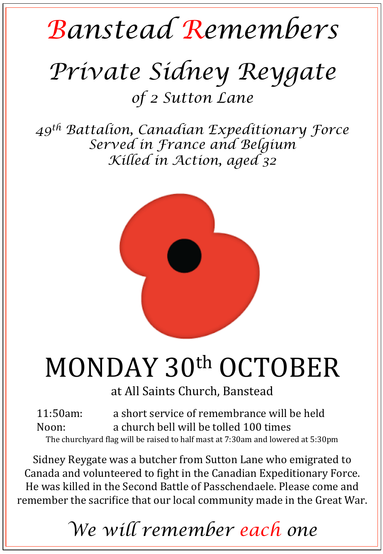## *Banstead Remembers*

# *Private Sidney Reygate*

*of 2 Sutton Lane*

*49th Battalion, Canadian Expeditionary Force Served in France and Belgium Killed in Action, aged 32* 



# MONDAY 30th OCTOBER

at All Saints Church, Banstead

11:50am: a short service of remembrance will be held Noon: a church bell will be tolled 100 times The churchyard flag will be raised to half mast at 7:30am and lowered at 5:30pm

Sidney Reygate was a butcher from Sutton Lane who emigrated to Canada and volunteered to fight in the Canadian Expeditionary Force. He was killed in the Second Battle of Passchendaele. Please come and remember the sacrifice that our local community made in the Great War.

### *We will remember each one*